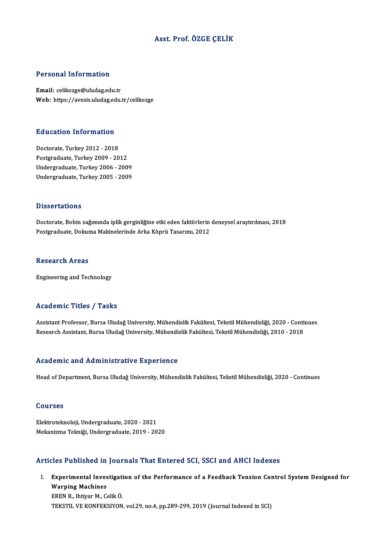## Asst. Prof. ÖZGE ÇELİK

#### Personal Information

Email: celikozge@uludag.edu.tr Web: https://avesis.uludag.edu.tr/celikozge

# Education Information

Education Information<br>Doctorate, Turkey 2012 - 2018<br>Bostareduate Turkey 2009 - 20 Doctorate, Turkey 2012 - 2018<br>Postgraduate, Turkey 2009 - 2012 Doctorate, Turkey 2012 - 2018<br>Postgraduate, Turkey 2009 - 2012<br>Undergraduate, Turkey 2006 - 2009<br>Undergraduate, Turkey 2005 - 2009 Postgraduate, Turkey 2009 - 2012<br>Undergraduate, Turkey 2006 - 2009<br>Undergraduate, Turkey 2005 - 2009 Undergraduate, Turkey 2005 - 2009<br>Dissertations

Doctorate, Bobin sağımında iplik gerginliğine etki eden faktörlerin deneysel araştırılması, 2018 Postgraduate, Dokuma Makinelerinde Arka Köprü Tasarımı, 2012

#### **Research Areas**

Engineering and Technology

#### Academic Titles / Tasks

Academic Titles / Tasks<br>Assistant Professor, Bursa Uludağ University, Mühendislik Fakültesi, Tekstil Mühendisliği, 2020 - Continues<br>Researsh Assistant, Bursa Uludağ University, Mühendislik Fakültesi, Tekstil Mühendisliği, rreddemre "Peres", "Pasks<br>Assistant Professor, Bursa Uludağ University, Mühendislik Fakültesi, Tekstil Mühendisliği, 2020 - Conti<br>Research Assistant, Bursa Uludağ University, Mühendislik Fakültesi, Tekstil Mühendisliği, 20 Research Assistant, Bursa Uludağ University, Mühendislik Fakültesi, Tekstil Mühendisliği, 2010 - 2018<br>Academic and Administrative Experience

Head of Department, Bursa Uludağ University, Mühendislik Fakültesi, Tekstil Mühendisliği, 2020 - Continues

#### Courses

Elektroteknoloji,Undergraduate,2020 -2021 MekanizmaTekniği,Undergraduate,2019 -2020

### Articles Published in Journals That Entered SCI, SSCI and AHCI Indexes

rticles Published in Journals That Entered SCI, SSCI and AHCI Indexes<br>I. Experimental Investigation of the Performance of a Feedback Tension Control System Designed for<br>Warning Machines Experimental Inves<br>Experimental Inves<br>Warping Machines Experimental Investigati<br>Warping Machines<br>EREN R., Ihtiyar M., Celik Ö.<br>TEKETIL VE KONEEKSIYON Warping Machines<br>EREN R., Ihtiyar M., Celik Ö.<br>TEKSTIL VE KONFEKSIYON, vol.29, no.4, pp.289-299, 2019 (Journal Indexed in SCI)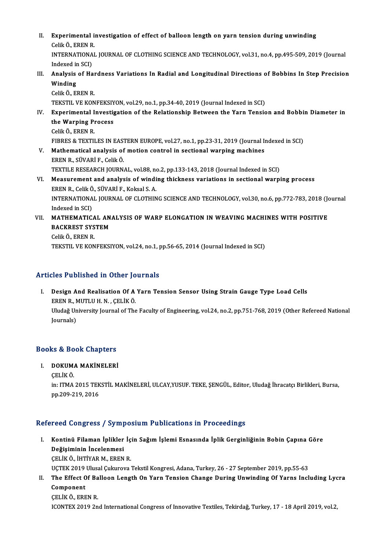II. Experimental investigation of effect of balloon length on yarn tension during unwinding Experimental i:<br>Celik Ö., EREN R.<br>INTERNATIONAL INTERNATIONAL JOURNAL OF CLOTHING SCIENCE AND TECHNOLOGY, vol.31, no.4, pp.495-509, 2019 (Journal Indexed in SCI) Celik Ö., EREN R<br>INTERNATIONA<br>Indexed in SCI)<br>Analysia of Ha INTERNATIONAL JOURNAL OF CLOTHING SCIENCE AND TECHNOLOGY, vol.31, no.4, pp.495-509, 2019 (Journal Indexed in SCI)<br>III. Analysis of Hardness Variations In Radial and Longitudinal Directions of Bobbins In Step Precision<br>Wind Indexed in<br>**Analysis<br>Winding**<br>Colik Ö-Fi Analysis of Hai<br>Winding<br>Celik Ö., EREN R.<br>TEKSTIL VE KON Winding<br>Celik Ö., EREN R.<br>TEKSTIL VE KONFEKSIYON, vol.29, no.1, pp.34-40, 2019 (Journal Indexed in SCI) Celik Ö., EREN R.<br>TEKSTIL VE KONFEKSIYON, vol.29, no.1, pp.34-40, 2019 (Journal Indexed in SCI)<br>IV. Experimental Investigation of the Relationship Between the Yarn Tension and Bobbin Diameter in<br>the Warning Presess. TEKSTIL VE KONFEKSIY<br>Experimental Investig<br>the Warping Process<br>Celik Ö. EREN B Experimental I<br>the Warping Pr<br>Celik Ö., EREN R.<br>EIPPES & TEVTU the Warping Process<br>Celik Ö., EREN R.<br>FIBRES & TEXTILES IN EASTERN EUROPE, vol.27, no.1, pp.23-31, 2019 (Journal Indexed in SCI) Celik Ö., EREN R.<br>FIBRES & TEXTILES IN EASTERN EUROPE, vol.27, no.1, pp.23-31, 2019 (Journal In<br>V. Mathematical analysis of motion control in sectional warping machines<br>FREN B. SÜVARİ E. Colik Ö. FIBRES & TEXTILES IN EAS.<br>Mathematical analysis of<br>EREN R., SÜVARİ F., Celik Ö.<br>TEYTILE PESEARCH JOUPN Mathematical analysis of motion control in sectional warping machines<br>EREN R., SÜVARİ F., Celik Ö.<br>TEXTILE RESEARCH JOURNAL, vol.88, no.2, pp.133-143, 2018 (Journal Indexed in SCI)<br>Measurement and analysis of winding thisk EREN R., SÜVARİ F., Celik Ö.<br>TEXTILE RESEARCH JOURNAL, vol.88, no.2, pp.133-143, 2018 (Journal Indexed in SCI)<br>VI. Measurement and analysis of winding thickness variations in sectional warping process TEXTILE RESEARCH JOURNAL, vol.88, no.<br>Measurement and analysis of windi<br>EREN R., Celik Ö., SÜVARİ F., Koksal S. A.<br>INTERNATIONAL JOURNAL OF CLOTUIN INTERNATIONAL JOURNAL OF CLOTHING SCIENCE AND TECHNOLOGY, vol.30, no.6, pp.772-783, 2018 (Journal Indexed in SCI) EREN R., Celik Ö., SÜVARİ F., Koksal S. A. INTERNATIONAL JOURNAL OF CLOTHING SCIENCE AND TECHNOLOGY, vol.30, no.6, pp.772-783, 2018 (Journal Indexed in SCI)<br>VII. MATHEMATICAL ANALYSIS OF WARP ELONGATION IN WEAVING MACHINES WITH POSITIVE<br>RACKREST SYSTEM Indexed in SCI)<br>MATHEMATICAL AN<br>BACKREST SYSTEM<br>Celik Ö. EPEN P MATHEMATICA<br>BACKREST SYS<br>Celik Ö., EREN R.<br>TEKSTIL VE KON BACKREST SYSTEM<br>Celik Ö., EREN R.<br>TEKSTIL VE KONFEKSIYON, vol.24, no.1, pp.56-65, 2014 (Journal Indexed in SCI)

Articles Published in Other Journals

rticles Published in Other Journals<br>I. Design And Realisation Of A Yarn Tension Sensor Using Strain Gauge Type Load Cells<br>FREN B. MUTLU N. CELIV Ö ERENR., MUTLUH.N., CELİKÖ.<br>ERENR., MUTLUH.N., CELİKÖ.<br>Uludağ University Jaumal of The Design And Realisation Of A Yarn Tension Sensor Using Strain Gauge Type Load Cells<br>EREN R., MUTLU H. N. , ÇELİK Ö.<br>Uludağ University Journal of The Faculty of Engineering, vol.24, no.2, pp.751-768, 2019 (Other Refereed Nat EREN R., N<br>Uludağ Un<br>Journals)

## <sub>Journais)</sub><br>Books & Book Chapters Ooks & Book Chapters<br>I. DOKUMA MAKİNELERİ<br>CELİKÖ

- I. DOKUMA MAKİNELERİ<br>CELİK Ö.
	-

DOKUMA MAKİNELERİ<br>ÇELİK Ö.<br>in: ITMA 2015 TEKSTİL MAKİNELERİ, ULCAY,YUSUF. TEKE, ŞENGÜL, Editor, Uludağ İhracatçı Birlikleri, Bursa,<br>pp.209,219, 2016 ÇELİK Ö.<br>in: ITMA 2015 TEK<br>pp.209-219, 2016

## pp.209-219, 2016<br>Refereed Congress / Symposium Publications in Proceedings

- efereed Congress / Symposium Publications in Proceedings<br>I. Kontinü Filaman İplikler İçin Sağım İşlemi Esnasında İplik Gerginliğinin Bobin Çapına Göre<br>Doğlajminin İngelemmesi rood dongrood / oy.m.<br>Kontinü Filaman İplikler<br>Değişiminin İncelenmesi<br>CELİKÖ İHTİVAR M. EREN Kontinü Filaman İplikler İç<br>Değişiminin İncelenmesi<br>ÇELİK Ö., İHTİYAR M., EREN R.<br>UCTEK 2010 Ulusal Gulunaya i Değişiminin İncelenmesi<br>ÇELİK Ö., İHTİYAR M., EREN R.<br>UÇTEK 2019 Ulusal Çukurova Tekstil Kongresi, Adana, Turkey, 26 - 27 September 2019, pp.55-63 CELIK Ö., İHTİYAR M., EREN R.<br>UÇTEK 2019 Ulusal Çukurova Tekstil Kongresi, Adana, Turkey, 26 - 27 September 2019, pp.55-63<br>II. The Effect Of Balloon Length On Yarn Tension Change During Unwinding Of Yarns Including Lyc
- UÇTEK 2019<br>The Effect O<br>Component<br>CELIV Ö-EDE The Effect Of Ba<br>Component<br>ÇELİK Ö., EREN R.<br>ICONTEY 2019 2n Component<br>ÇELİK Ö., EREN R.<br>ICONTEX 2019 2nd International Congress of Innovative Textiles, Tekirdağ, Turkey, 17 - 18 April 2019, vol.2,